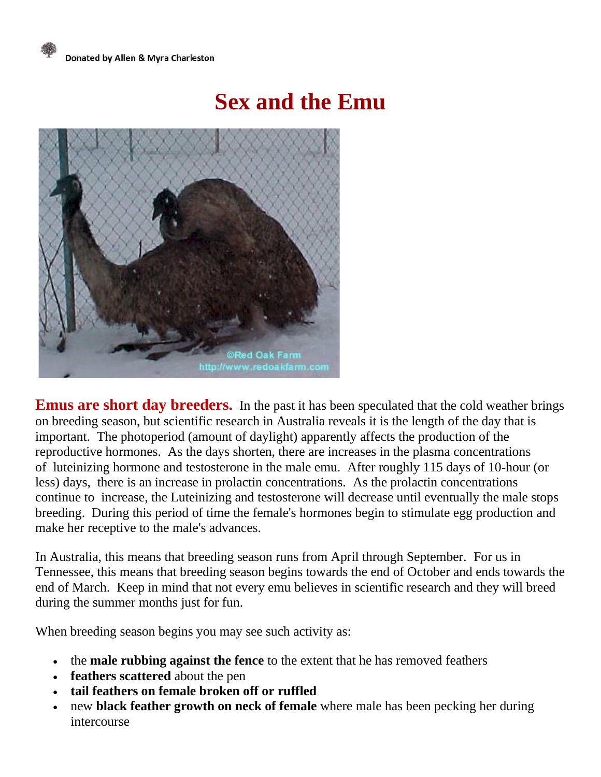## **Sex and the Emu**



**Emus are short day breeders.** In the past it has been speculated that the cold weather brings on breeding season, but scientific research in Australia reveals it is the length of the day that is important. The photoperiod (amount of daylight) apparently affects the production of the reproductive hormones. As the days shorten, there are increases in the plasma concentrations of luteinizing hormone and testosterone in the male emu. After roughly 115 days of 10-hour (or less) days, there is an increase in prolactin concentrations. As the prolactin concentrations continue to increase, the Luteinizing and testosterone will decrease until eventually the male stops breeding. During this period of time the female's hormones begin to stimulate egg production and make her receptive to the male's advances.

In Australia, this means that breeding season runs from April through September. For us in Tennessee, this means that breeding season begins towards the end of October and ends towards the end of March. Keep in mind that not every emu believes in scientific research and they will breed during the summer months just for fun.

When breeding season begins you may see such activity as:

- the **male rubbing against the fence** to the extent that he has removed feathers
- **feathers scattered** about the pen
- **tail feathers on female broken off or ruffled**
- new **black feather growth on neck of female** where male has been pecking her during intercourse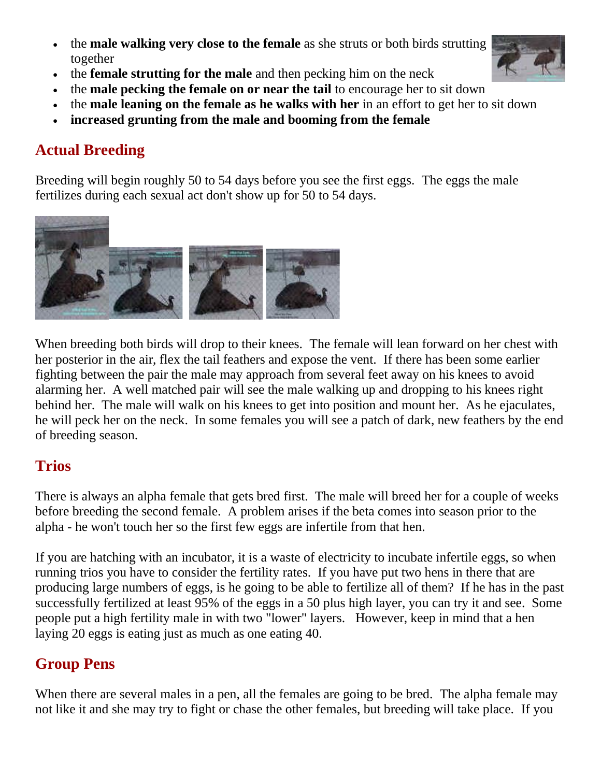- the **male walking very close to the female** as she struts or both birds strutting together
- the **female strutting for the male** and then pecking him on the neck
- the **male pecking the female on or near the tail** to encourage her to sit down
- the **male leaning on the female as he walks with her** in an effort to get her to sit down
- **increased grunting from the male and booming from the female**

## **Actual Breeding**

Breeding will begin roughly 50 to 54 days before you see the first eggs. The eggs the male fertilizes during each sexual act don't show up for 50 to 54 days.



When breeding both birds will drop to their knees. The female will lean forward on her chest with her posterior in the air, flex the tail feathers and expose the vent. If there has been some earlier fighting between the pair the male may approach from several feet away on his knees to avoid alarming her. A well matched pair will see the male walking up and dropping to his knees right behind her. The male will walk on his knees to get into position and mount her. As he ejaculates, he will peck her on the neck. In some females you will see a patch of dark, new feathers by the end of breeding season.

## **Trios**

There is always an alpha female that gets bred first. The male will breed her for a couple of weeks before breeding the second female. A problem arises if the beta comes into season prior to the alpha - he won't touch her so the first few eggs are infertile from that hen.

If you are hatching with an incubator, it is a waste of electricity to incubate infertile eggs, so when running trios you have to consider the fertility rates. If you have put two hens in there that are producing large numbers of eggs, is he going to be able to fertilize all of them? If he has in the past successfully fertilized at least 95% of the eggs in a 50 plus high layer, you can try it and see. Some people put a high fertility male in with two "lower" layers. However, keep in mind that a hen laying 20 eggs is eating just as much as one eating 40.

## **Group Pens**

When there are several males in a pen, all the females are going to be bred. The alpha female may not like it and she may try to fight or chase the other females, but breeding will take place. If you